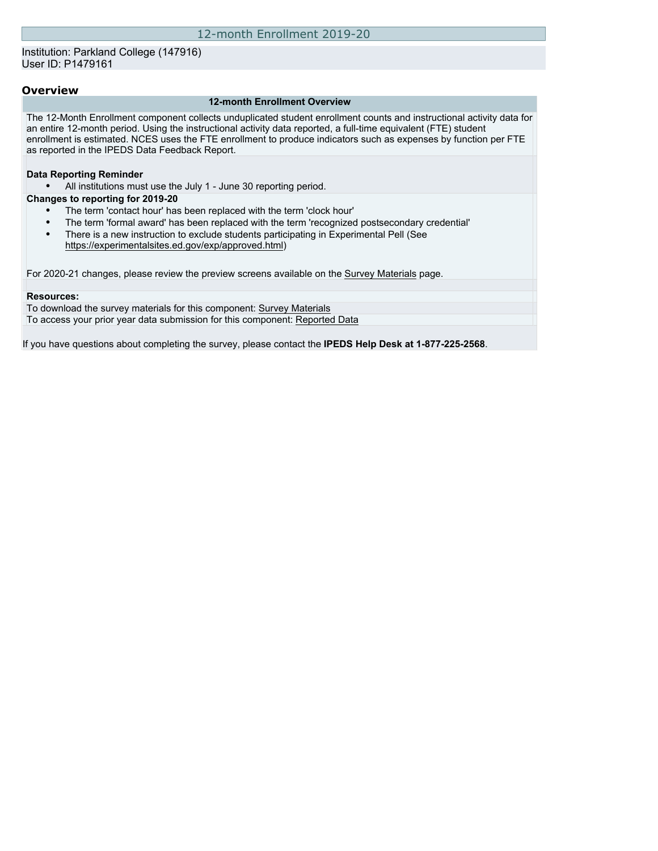### **Overview**

#### **12-month Enrollment Overview**

The 12-Month Enrollment component collects unduplicated student enrollment counts and instructional activity data for an entire 12-month period. Using the instructional activity data reported, a full-time equivalent (FTE) student enrollment is estimated. NCES uses the FTE enrollment to produce indicators such as expenses by function per FTE as reported in the IPEDS Data Feedback Report.

#### **Data Reporting Reminder**

• All institutions must use the July 1 - June 30 reporting period.

#### **Changes to reporting for 2019-20**

- The term 'contact hour' has been replaced with the term 'clock hour'
- The term 'formal award' has been replaced with the term 'recognized postsecondary credential'
- There is a new instruction to exclude students participating in Experimental Pell (See
	- [https://experimentalsites.ed.gov/exp/approved.html\)](https://experimentalsites.ed.gov/exp/approved.html)

For 2020-21 changes, please review the preview screens available on the [Survey Materials](https://surveys.nces.ed.gov/ipeds/VisIndex.aspx) page.

#### **Resources:**

To download the survey materials for this component: [Survey Materials](https://surveys.nces.ed.gov/ipeds/VisIndex.aspx) To access your prior year data submission for this component: [Reported Data](http://192.168.102.153/ipeds/PriorYearDataRedirect.aspx?survey_id=9)

If you have questions about completing the survey, please contact the **IPEDS Help Desk at 1-877-225-2568**.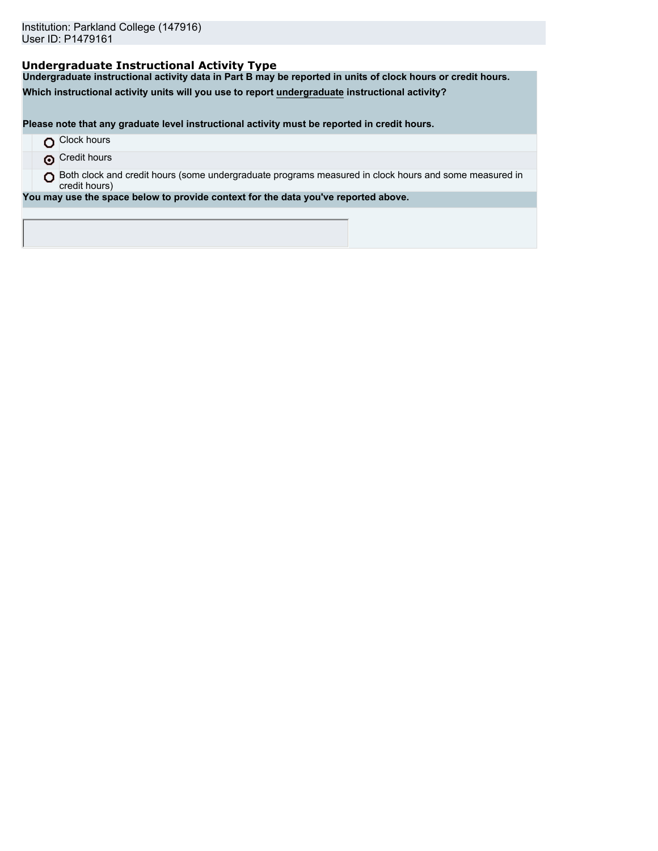# **Undergraduate Instructional Activity Type**

**Undergraduate instructional activity data in Part B may be reported in units of clock hours or credit hours.**

**Which instructional activity units will you use to report undergraduate instructional activity?**

**Please note that any graduate level instructional activity must be reported in credit hours.**

|  | Clock hours |  |
|--|-------------|--|
|--|-------------|--|

**O** Credit hours

O Both clock and credit hours (some undergraduate programs measured in clock hours and some measured in credit hours)

**You may use the space below to provide context for the data you've reported above.**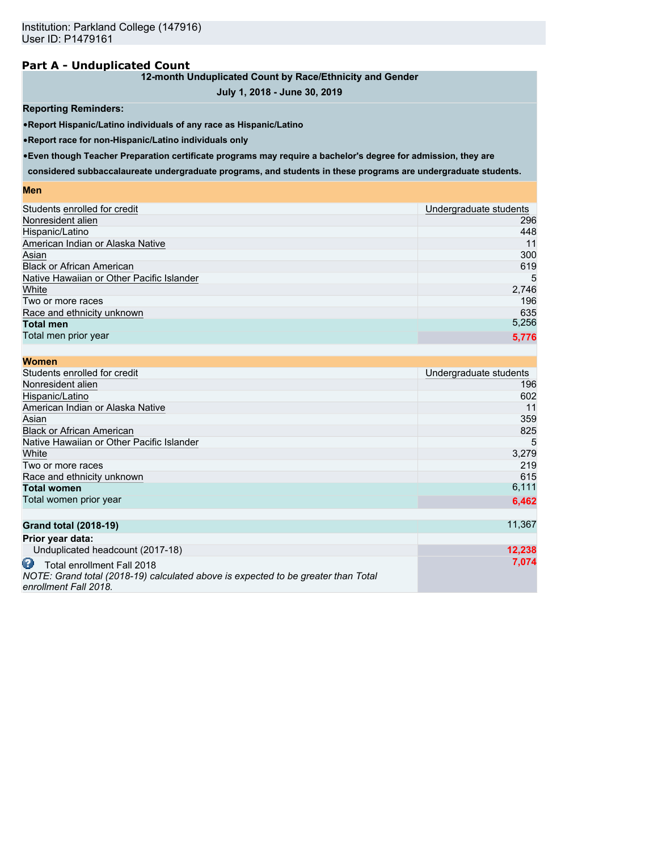## **Part A - Unduplicated Count**

### **12-month Unduplicated Count by Race/Ethnicity and Gender**

## **July 1, 2018 - June 30, 2019**

### **Reporting Reminders:**

•**Report Hispanic/Latino individuals of any race as Hispanic/Latino**

•**Report race for non-Hispanic/Latino individuals only**

•**Even though Teacher Preparation certificate programs may require a bachelor's degree for admission, they are**

**considered subbaccalaureate undergraduate programs, and students in these programs are undergraduate students.**

### **Men**

| Students enrolled for credit              | Undergraduate students |
|-------------------------------------------|------------------------|
| Nonresident alien                         | 296                    |
| Hispanic/Latino                           | 448                    |
| American Indian or Alaska Native          | 11                     |
| Asian                                     | 300                    |
| <b>Black or African American</b>          | 619                    |
| Native Hawaiian or Other Pacific Islander | 5                      |
| White                                     | 2,746                  |
| Two or more races                         | 196                    |
| Race and ethnicity unknown                | 635                    |
| <b>Total men</b>                          | 5,256                  |
| Total men prior year                      | 5,776                  |
|                                           |                        |

| <b>Women</b>                                                                                                                                  |                        |
|-----------------------------------------------------------------------------------------------------------------------------------------------|------------------------|
| Students enrolled for credit                                                                                                                  | Undergraduate students |
| Nonresident alien                                                                                                                             | 196                    |
| Hispanic/Latino                                                                                                                               | 602                    |
| American Indian or Alaska Native                                                                                                              | 11                     |
| Asian                                                                                                                                         | 359                    |
| <b>Black or African American</b>                                                                                                              | 825                    |
| Native Hawaiian or Other Pacific Islander                                                                                                     | 5                      |
| White                                                                                                                                         | 3,279                  |
| Two or more races                                                                                                                             | 219                    |
| Race and ethnicity unknown                                                                                                                    | 615                    |
| <b>Total women</b>                                                                                                                            | 6,111                  |
| Total women prior year                                                                                                                        | 6,462                  |
| <b>Grand total (2018-19)</b>                                                                                                                  | 11,367                 |
| Prior year data:                                                                                                                              |                        |
| Unduplicated headcount (2017-18)                                                                                                              | 12,238                 |
| ω<br>Total enrollment Fall 2018<br>NOTE: Grand total (2018-19) calculated above is expected to be greater than Total<br>enrollment Fall 2018. | 7,074                  |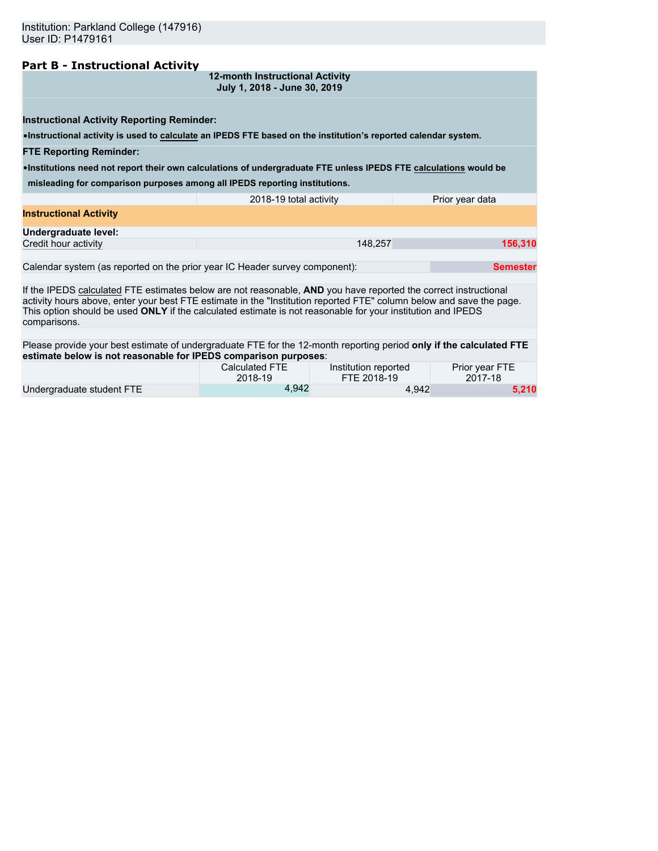## **Part B - Instructional Activity**

**12-month Instructional Activity July 1, 2018 - June 30, 2019**

•**Instructional activity is used to calculate an IPEDS FTE based on the institution's reported calendar system.**

#### **FTE Reporting Reminder:**

•**Institutions need not report their own calculations of undergraduate FTE unless IPEDS FTE calculations would be**

**misleading for comparison purposes among all IPEDS reporting institutions.**

|                               | 2018-19 total activity | Prior year data |
|-------------------------------|------------------------|-----------------|
| <b>Instructional Activity</b> |                        |                 |
| Undergraduate level:          |                        |                 |
| Credit hour activity          | 148.257                | 156,310         |
|                               |                        |                 |

Calendar system (as reported on the prior year IC Header survey component): **Semester**

If the IPEDS calculated FTE estimates below are not reasonable, **AND** you have reported the correct instructional activity hours above, enter your best FTE estimate in the "Institution reported FTE" column below and save the page. This option should be used **ONLY** if the calculated estimate is not reasonable for your institution and IPEDS comparisons.

Please provide your best estimate of undergraduate FTE for the 12-month reporting period **only if the calculated FTE estimate below is not reasonable for IPEDS comparison purposes**:

|                           | Calculated FTE | Institution reported | Prior year FTE |
|---------------------------|----------------|----------------------|----------------|
|                           | 2018-19        | FTE 2018-19          | 2017-18        |
| Undergraduate student FTE | 4.942          | 4.942                | 5,210          |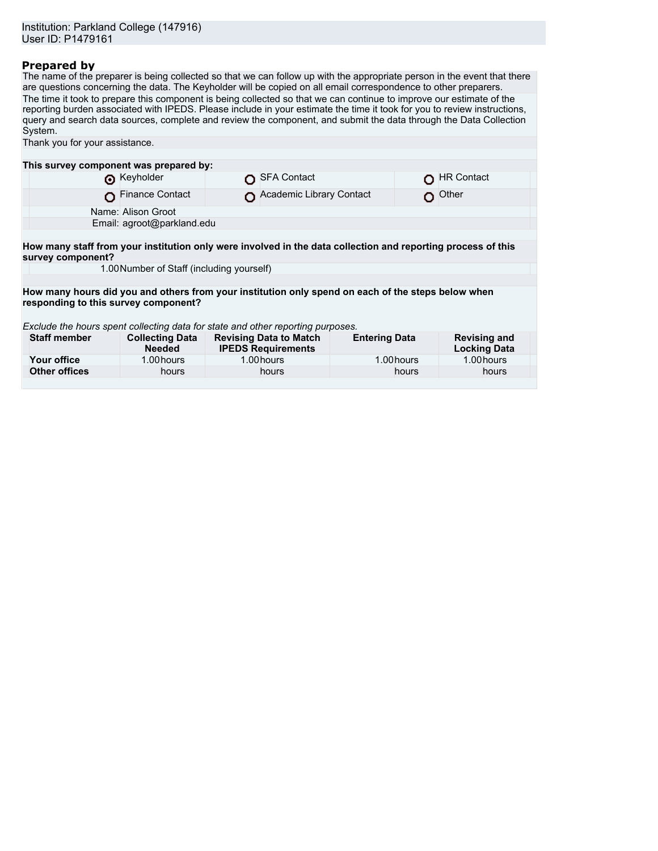# **Prepared by**

The name of the preparer is being collected so that we can follow up with the appropriate person in the event that there are questions concerning the data. The Keyholder will be copied on all email correspondence to other preparers. The time it took to prepare this component is being collected so that we can continue to improve our estimate of the reporting burden associated with IPEDS. Please include in your estimate the time it took for you to review instructions, query and search data sources, complete and review the component, and submit the data through the Data Collection System.

| Thank you for your assistance.                                                                     |                                           |                                                                                                              |                      |                                            |
|----------------------------------------------------------------------------------------------------|-------------------------------------------|--------------------------------------------------------------------------------------------------------------|----------------------|--------------------------------------------|
|                                                                                                    |                                           |                                                                                                              |                      |                                            |
| This survey component was prepared by:                                                             |                                           |                                                                                                              |                      |                                            |
|                                                                                                    | Reyholder                                 | <b>SFA Contact</b>                                                                                           |                      | <b>HR Contact</b>                          |
|                                                                                                    | <b>Finance Contact</b>                    | Academic Library Contact                                                                                     |                      | Other                                      |
|                                                                                                    | Name: Alison Groot                        |                                                                                                              |                      |                                            |
|                                                                                                    | Email: agroot@parkland.edu                |                                                                                                              |                      |                                            |
|                                                                                                    |                                           |                                                                                                              |                      |                                            |
| survey component?                                                                                  |                                           | How many staff from your institution only were involved in the data collection and reporting process of this |                      |                                            |
|                                                                                                    | 1.00 Number of Staff (including yourself) |                                                                                                              |                      |                                            |
|                                                                                                    |                                           |                                                                                                              |                      |                                            |
| How many hours did you and others from your institution only spend on each of the steps below when |                                           |                                                                                                              |                      |                                            |
| responding to this survey component?                                                               |                                           |                                                                                                              |                      |                                            |
|                                                                                                    |                                           |                                                                                                              |                      |                                            |
|                                                                                                    |                                           | Exclude the hours spent collecting data for state and other reporting purposes.                              |                      |                                            |
| <b>Staff member</b>                                                                                | <b>Collecting Data</b><br><b>Needed</b>   | <b>Revising Data to Match</b><br><b>IPEDS Requirements</b>                                                   | <b>Entering Data</b> | <b>Revising and</b><br><b>Locking Data</b> |
| Your office                                                                                        | 1.00 hours                                | 1.00 hours                                                                                                   | 1.00 hours           | 1.00 hours                                 |
| <b>Other offices</b>                                                                               | hours                                     | hours                                                                                                        | hours                | hours                                      |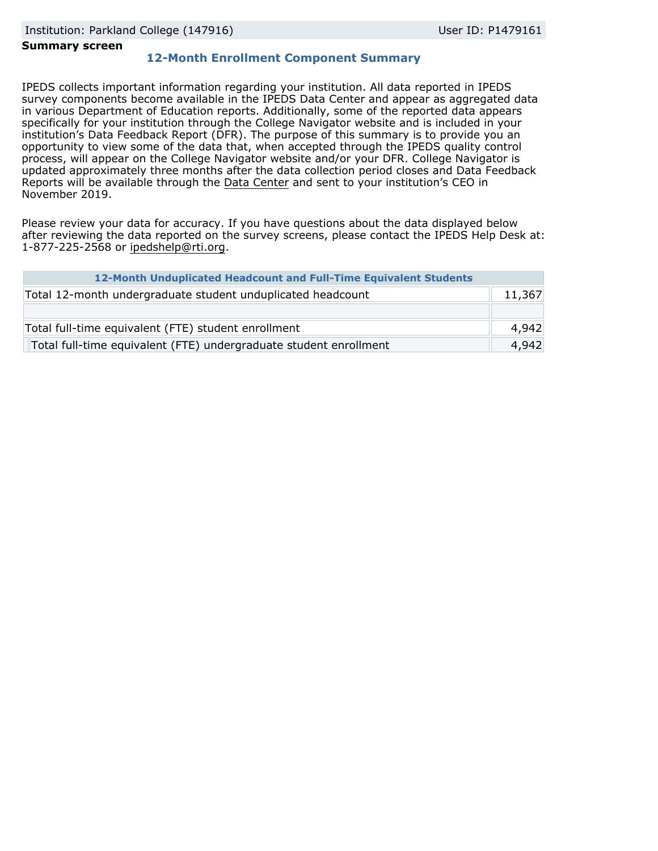#### **Summary screen**

# **12-Month Enrollment Component Summary**

IPEDS collects important information regarding your institution. All data reported in IPEDS survey components become available in the IPEDS Data Center and appear as aggregated data in various Department of Education reports. Additionally, some of the reported data appears specifically for your institution through the College Navigator website and is included in your institution's Data Feedback Report (DFR). The purpose of this summary is to provide you an opportunity to view some of the data that, when accepted through the IPEDS quality control process, will appear on the College Navigator website and/or your DFR. College Navigator is updated approximately three months after the data collection period closes and Data Feedback Reports will be available through the [Data Center](https://nces.ed.gov/ipeds/use-the-data) and sent to your institution's CEO in November 2019.

Please review your data for accuracy. If you have questions about the data displayed below after reviewing the data reported on the survey screens, please contact the IPEDS Help Desk at: 1-877-225-2568 or ipedshelp@rti.org.

| 12-Month Unduplicated Headcount and Full-Time Equivalent Students |        |
|-------------------------------------------------------------------|--------|
| Total 12-month undergraduate student unduplicated headcount       | 11,367 |
|                                                                   |        |
| Total full-time equivalent (FTE) student enrollment               | 4,942  |
| Total full-time equivalent (FTE) undergraduate student enrollment | 4,942  |